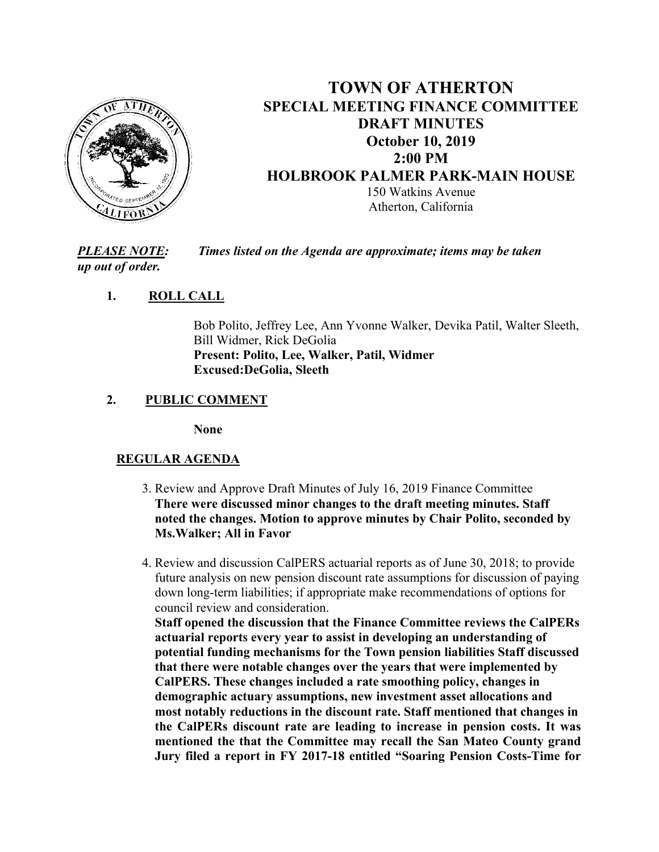

# **TOWN OF ATHERTON SPECIAL MEETING FINANCE COMMITTEE DRAFT MINUTES October 10, 2019 2:00 PM HOLBROOK PALMER PARK-MAIN HOUSE**  150 Watkins Avenue Atherton, California

*PLEASE NOTE: Times listed on the Agenda are approximate; items may be taken up out of order.* 

### **1. ROLL CALL**

Bob Polito, Jeffrey Lee, Ann Yvonne Walker, Devika Patil, Walter Sleeth, Bill Widmer, Rick DeGolia **Present: Polito, Lee, Walker, Patil, Widmer Excused:DeGolia, Sleeth**

### **2. PUBLIC COMMENT**

**None** 

## **REGULAR AGENDA**

- 3. Review and Approve Draft Minutes of July 16, 2019 Finance Committee **There were discussed minor changes to the draft meeting minutes. Staff noted the changes. Motion to approve minutes by Chair Polito, seconded by Ms.Walker; All in Favor**
- 4. Review and discussion CalPERS actuarial reports as of June 30, 2018; to provide future analysis on new pension discount rate assumptions for discussion of paying down long-term liabilities; if appropriate make recommendations of options for council review and consideration.

 **Staff opened the discussion that the Finance Committee reviews the CalPERs actuarial reports every year to assist in developing an understanding of potential funding mechanisms for the Town pension liabilities Staff discussed that there were notable changes over the years that were implemented by CalPERS. These changes included a rate smoothing policy, changes in demographic actuary assumptions, new investment asset allocations and most notably reductions in the discount rate. Staff mentioned that changes in the CalPERs discount rate are leading to increase in pension costs. It was mentioned the that the Committee may recall the San Mateo County grand Jury filed a report in FY 2017-18 entitled "Soaring Pension Costs-Time for**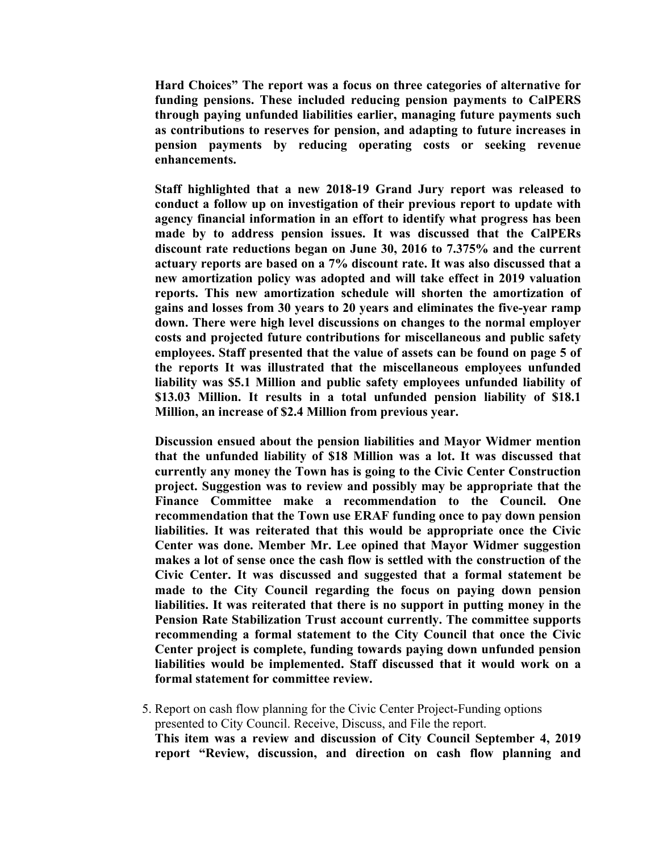**Hard Choices" The report was a focus on three categories of alternative for funding pensions. These included reducing pension payments to CalPERS through paying unfunded liabilities earlier, managing future payments such as contributions to reserves for pension, and adapting to future increases in pension payments by reducing operating costs or seeking revenue enhancements.** 

**Staff highlighted that a new 2018-19 Grand Jury report was released to conduct a follow up on investigation of their previous report to update with agency financial information in an effort to identify what progress has been made by to address pension issues. It was discussed that the CalPERs discount rate reductions began on June 30, 2016 to 7.375% and the current actuary reports are based on a 7% discount rate. It was also discussed that a new amortization policy was adopted and will take effect in 2019 valuation reports. This new amortization schedule will shorten the amortization of gains and losses from 30 years to 20 years and eliminates the five-year ramp down. There were high level discussions on changes to the normal employer costs and projected future contributions for miscellaneous and public safety employees. Staff presented that the value of assets can be found on page 5 of the reports It was illustrated that the miscellaneous employees unfunded liability was \$5.1 Million and public safety employees unfunded liability of \$13.03 Million. It results in a total unfunded pension liability of \$18.1 Million, an increase of \$2.4 Million from previous year.** 

**Discussion ensued about the pension liabilities and Mayor Widmer mention that the unfunded liability of \$18 Million was a lot. It was discussed that currently any money the Town has is going to the Civic Center Construction project. Suggestion was to review and possibly may be appropriate that the Finance Committee make a recommendation to the Council. One recommendation that the Town use ERAF funding once to pay down pension liabilities. It was reiterated that this would be appropriate once the Civic Center was done. Member Mr. Lee opined that Mayor Widmer suggestion makes a lot of sense once the cash flow is settled with the construction of the Civic Center. It was discussed and suggested that a formal statement be made to the City Council regarding the focus on paying down pension liabilities. It was reiterated that there is no support in putting money in the Pension Rate Stabilization Trust account currently. The committee supports recommending a formal statement to the City Council that once the Civic Center project is complete, funding towards paying down unfunded pension liabilities would be implemented. Staff discussed that it would work on a formal statement for committee review.** 

 5. Report on cash flow planning for the Civic Center Project-Funding options presented to City Council. Receive, Discuss, and File the report. **This item was a review and discussion of City Council September 4, 2019 report "Review, discussion, and direction on cash flow planning and**